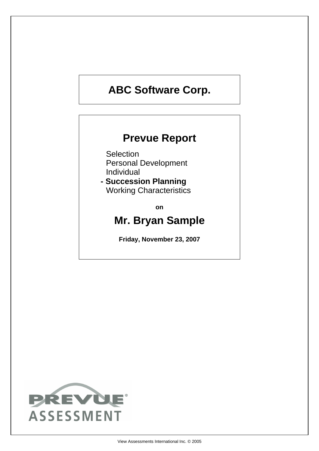# **ABC Software Corp.**

## **Prevue Report**

**Selection** Personal Development Individual

**- Succession Planning** Working Characteristics

**on**

## **Mr. Bryan Sample**

**Friday, November 23, 2007**

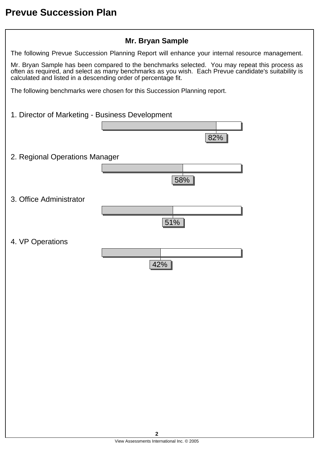| <b>Mr. Bryan Sample</b>                                                                                                                                                                                                                                                 |
|-------------------------------------------------------------------------------------------------------------------------------------------------------------------------------------------------------------------------------------------------------------------------|
| The following Prevue Succession Planning Report will enhance your internal resource management.                                                                                                                                                                         |
| Mr. Bryan Sample has been compared to the benchmarks selected. You may repeat this process as<br>often as required, and select as many benchmarks as you wish. Each Prevue candidate's suitability is<br>calculated and listed in a descending order of percentage fit. |
| The following benchmarks were chosen for this Succession Planning report.                                                                                                                                                                                               |
|                                                                                                                                                                                                                                                                         |
| 1. Director of Marketing - Business Development                                                                                                                                                                                                                         |
|                                                                                                                                                                                                                                                                         |
| 82%                                                                                                                                                                                                                                                                     |
| 2. Regional Operations Manager                                                                                                                                                                                                                                          |
|                                                                                                                                                                                                                                                                         |
| 58%                                                                                                                                                                                                                                                                     |
| 3. Office Administrator                                                                                                                                                                                                                                                 |
|                                                                                                                                                                                                                                                                         |
| 51%                                                                                                                                                                                                                                                                     |
| 4. VP Operations                                                                                                                                                                                                                                                        |
|                                                                                                                                                                                                                                                                         |
| 42%                                                                                                                                                                                                                                                                     |
|                                                                                                                                                                                                                                                                         |
|                                                                                                                                                                                                                                                                         |
|                                                                                                                                                                                                                                                                         |
|                                                                                                                                                                                                                                                                         |
|                                                                                                                                                                                                                                                                         |
|                                                                                                                                                                                                                                                                         |
|                                                                                                                                                                                                                                                                         |
|                                                                                                                                                                                                                                                                         |
|                                                                                                                                                                                                                                                                         |
|                                                                                                                                                                                                                                                                         |
|                                                                                                                                                                                                                                                                         |
|                                                                                                                                                                                                                                                                         |
|                                                                                                                                                                                                                                                                         |
|                                                                                                                                                                                                                                                                         |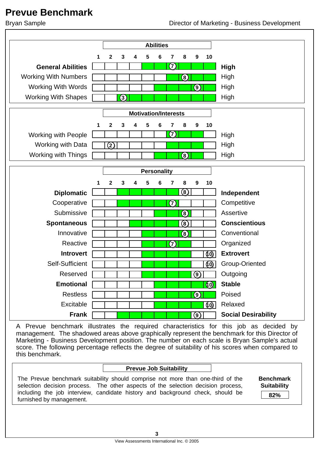

A Prevue benchmark illustrates the required characteristics for this job as decided by management. The shadowed areas above graphically represent the benchmark for this Director of Marketing - Business Development position. The number on each scale is Bryan Sample's actual score. The following percentage reflects the degree of suitability of his scores when compared to this benchmark.

#### **Prevue Job Suitability**

The Prevue benchmark suitability should comprise not more than one-third of the selection decision process. The other aspects of the selection decision process, including the job interview, candidate history and background check, should be furnished by management.

**Benchmark Suitability**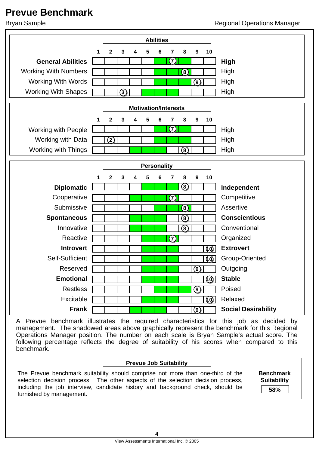

Operations Manager position. The number on each scale is Bryan Sample's actual score. The following percentage reflects the degree of suitability of his scores when compared to this benchmark.

#### **Prevue Job Suitability**

The Prevue benchmark suitability should comprise not more than one-third of the selection decision process. The other aspects of the selection decision process, including the job interview, candidate history and background check, should be furnished by management.

**Benchmark Suitability**

**58%**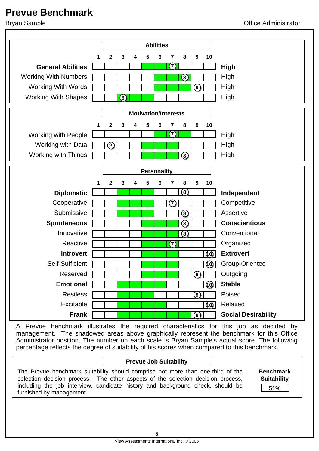

management. The shadowed areas above graphically represent the benchmark for this Office Administrator position. The number on each scale is Bryan Sample's actual score. The following percentage reflects the degree of suitability of his scores when compared to this benchmark.

#### **Prevue Job Suitability**

The Prevue benchmark suitability should comprise not more than one-third of the selection decision process. The other aspects of the selection decision process, including the job interview, candidate history and background check, should be furnished by management.

**Benchmark Suitability 51%**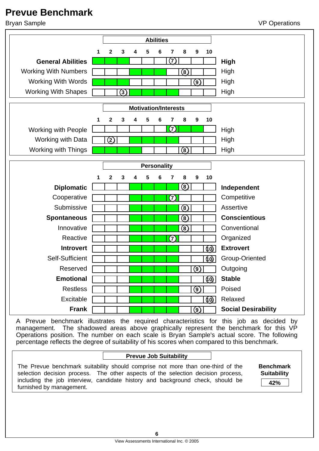

A Prevue benchmark illustrates the required characteristics for this job as decided by management. The shadowed areas above graphically represent the benchmark for this VP Operations position. The number on each scale is Bryan Sample's actual score. The following percentage reflects the degree of suitability of his scores when compared to this benchmark.

#### **Prevue Job Suitability**

The Prevue benchmark suitability should comprise not more than one-third of the selection decision process. The other aspects of the selection decision process, including the job interview, candidate history and background check, should be furnished by management.

**Benchmark Suitability**